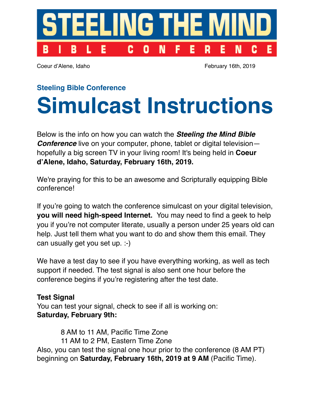

Coeur d'Alene, Idaho February 16th, 2019

#### **Steeling Bible Conference**

# **Simulcast Instructions**

Below is the info on how you can watch the *Steeling the Mind Bible Conference* live on your computer, phone, tablet or digital television hopefully a big screen TV in your living room! It's being held in **Coeur d'Alene, Idaho, Saturday, February 16th, 2019.**

We're praying for this to be an awesome and Scripturally equipping Bible conference!

If you're going to watch the conference simulcast on your digital television, **you will need high-speed Internet.** You may need to find a geek to help you if you're not computer literate, usually a person under 25 years old can help. Just tell them what you want to do and show them this email. They can usually get you set up. :-)

We have a test day to see if you have everything working, as well as tech support if needed. The test signal is also sent one hour before the conference begins if you're registering after the test date.

## **Test Signal**

You can test your signal, check to see if all is working on: **Saturday, February 9th:**

 8 AM to 11 AM, Pacific Time Zone 11 AM to 2 PM, Eastern Time Zone Also, you can test the signal one hour prior to the conference (8 AM PT) beginning on **Saturday, February 16th, 2019 at 9 AM** (Pacific Time).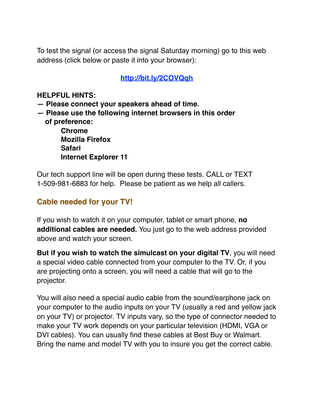To test the signal (or access the signal Saturday morning) go to this web address (click below or paste it into your browser):

#### **<http://bit.ly/2COVQqh>**

#### **HELPFUL HINTS:**

- **Please connect your speakers ahead of time.**
- **Please use the following internet browsers in this order of preference:**

 **Chrome Mozilla Firefox Safari Internet Explorer 11**

Our tech support line will be open during these tests. CALL or TEXT 1-509-981-6883 for help. Please be patient as we help all callers.

## **Cable needed for your TV!**

If you wish to watch it on your computer, tablet or smart phone, **no additional cables are needed.** You just go to the web address provided above and watch your screen.

**But if you wish to watch the simulcast on your digital TV**, you will need a special video cable connected from your computer to the TV. Or, if you are projecting onto a screen, you will need a cable that will go to the projector.

You will also need a special audio cable from the sound/earphone jack on your computer to the audio inputs on your TV (usually a red and yellow jack on your TV) or projector. TV inputs vary, so the type of connector needed to make your TV work depends on your particular television (HDMI, VGA or DVI cables). You can usually find these cables at Best Buy or Walmart. Bring the name and model TV with you to insure you get the correct cable.